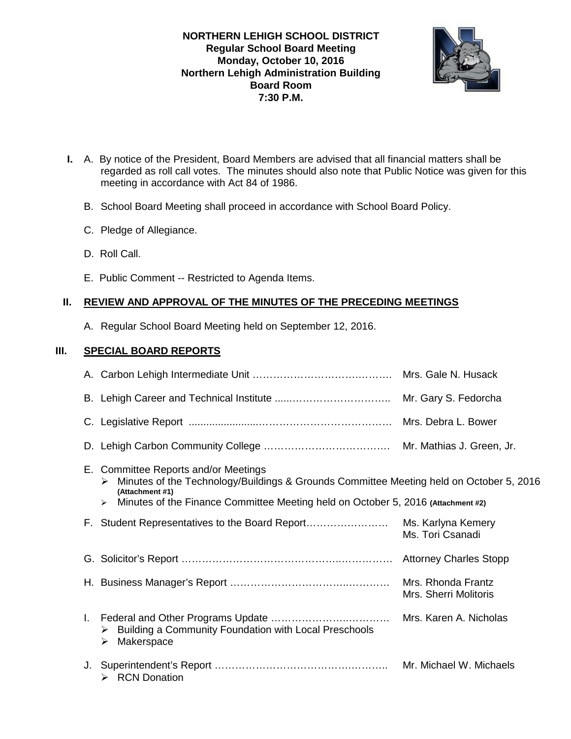**NORTHERN LEHIGH SCHOOL DISTRICT Regular School Board Meeting Monday, October 10, 2016 Northern Lehigh Administration Building Board Room 7:30 P.M.** 



- **I.** A. By notice of the President, Board Members are advised that all financial matters shall be regarded as roll call votes. The minutes should also note that Public Notice was given for this meeting in accordance with Act 84 of 1986.
	- B. School Board Meeting shall proceed in accordance with School Board Policy.
	- C. Pledge of Allegiance.
	- D. Roll Call.
	- E. Public Comment -- Restricted to Agenda Items.

# **II. REVIEW AND APPROVAL OF THE MINUTES OF THE PRECEDING MEETINGS**

A. Regular School Board Meeting held on September 12, 2016.

# **III. SPECIAL BOARD REPORTS**

|  | E. Committee Reports and/or Meetings<br>Minutes of the Technology/Buildings & Grounds Committee Meeting held on October 5, 2016<br>➤<br>(Attachment #1)<br>Minutes of the Finance Committee Meeting held on October 5, 2016 (Attachment #2)<br>$\blacktriangleright$ |                                             |
|--|----------------------------------------------------------------------------------------------------------------------------------------------------------------------------------------------------------------------------------------------------------------------|---------------------------------------------|
|  | F. Student Representatives to the Board Report                                                                                                                                                                                                                       | Ms. Karlyna Kemery<br>Ms. Tori Csanadi      |
|  |                                                                                                                                                                                                                                                                      |                                             |
|  |                                                                                                                                                                                                                                                                      | Mrs. Rhonda Frantz<br>Mrs. Sherri Molitoris |
|  | Building a Community Foundation with Local Preschools<br>➤<br>Makerspace<br>➤                                                                                                                                                                                        | Mrs. Karen A. Nicholas                      |
|  | > RCN Donation                                                                                                                                                                                                                                                       | Mr. Michael W. Michaels                     |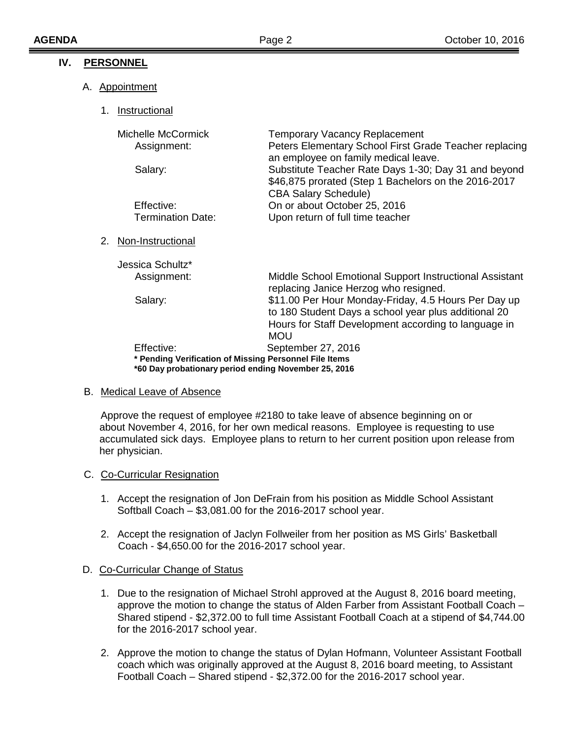# **IV. PERSONNEL**

## A. Appointment

1. Instructional

| Michelle McCormick<br>Assignment:                                                                              | <b>Temporary Vacancy Replacement</b><br>Peters Elementary School First Grade Teacher replacing<br>an employee on family medical leave.                                             |  |  |  |  |
|----------------------------------------------------------------------------------------------------------------|------------------------------------------------------------------------------------------------------------------------------------------------------------------------------------|--|--|--|--|
| Salary:                                                                                                        | Substitute Teacher Rate Days 1-30; Day 31 and beyond<br>\$46,875 prorated (Step 1 Bachelors on the 2016-2017<br><b>CBA Salary Schedule)</b>                                        |  |  |  |  |
| Effective:                                                                                                     | On or about October 25, 2016                                                                                                                                                       |  |  |  |  |
| <b>Termination Date:</b>                                                                                       | Upon return of full time teacher                                                                                                                                                   |  |  |  |  |
| Non-Instructional<br>2.                                                                                        |                                                                                                                                                                                    |  |  |  |  |
| Jessica Schultz*                                                                                               |                                                                                                                                                                                    |  |  |  |  |
| Assignment:                                                                                                    | Middle School Emotional Support Instructional Assistant<br>replacing Janice Herzog who resigned.                                                                                   |  |  |  |  |
| Salary:                                                                                                        | \$11.00 Per Hour Monday-Friday, 4.5 Hours Per Day up<br>to 180 Student Days a school year plus additional 20<br>Hours for Staff Development according to language in<br><b>MOU</b> |  |  |  |  |
| Effective:                                                                                                     | September 27, 2016                                                                                                                                                                 |  |  |  |  |
| * Pending Verification of Missing Personnel File Items<br>*60 Day probationary period ending November 25, 2016 |                                                                                                                                                                                    |  |  |  |  |

### B. Medical Leave of Absence

 Approve the request of employee #2180 to take leave of absence beginning on or about November 4, 2016, for her own medical reasons. Employee is requesting to use accumulated sick days. Employee plans to return to her current position upon release from her physician.

### C. Co-Curricular Resignation

- 1. Accept the resignation of Jon DeFrain from his position as Middle School Assistant Softball Coach – \$3,081.00 for the 2016-2017 school year.
- 2. Accept the resignation of Jaclyn Follweiler from her position as MS Girls' Basketball Coach - \$4,650.00 for the 2016-2017 school year.

### D. Co-Curricular Change of Status

- 1. Due to the resignation of Michael Strohl approved at the August 8, 2016 board meeting, approve the motion to change the status of Alden Farber from Assistant Football Coach – Shared stipend - \$2,372.00 to full time Assistant Football Coach at a stipend of \$4,744.00 for the 2016-2017 school year.
- 2. Approve the motion to change the status of Dylan Hofmann, Volunteer Assistant Football coach which was originally approved at the August 8, 2016 board meeting, to Assistant Football Coach – Shared stipend - \$2,372.00 for the 2016-2017 school year.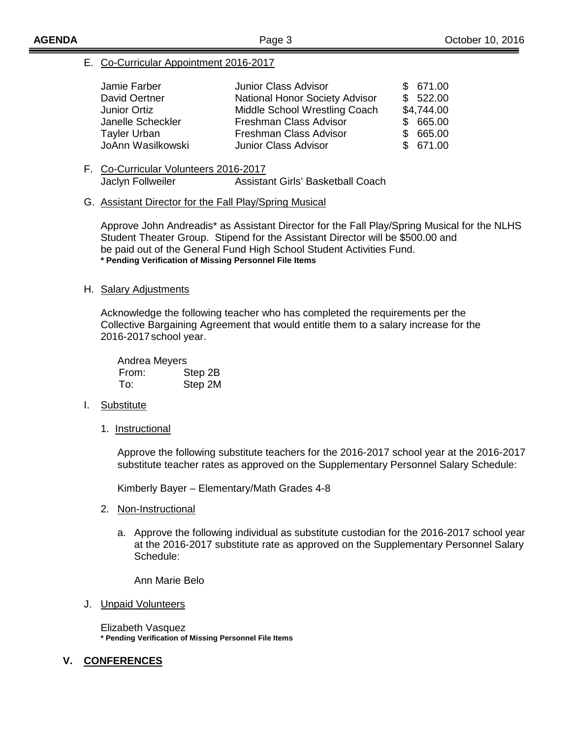### E. Co-Curricular Appointment 2016-2017

| Jamie Farber        | <b>Junior Class Advisor</b>    | \$671.00   |
|---------------------|--------------------------------|------------|
| David Oertner       | National Honor Society Advisor | \$522.00   |
| Junior Ortiz        | Middle School Wrestling Coach  | \$4,744.00 |
| Janelle Scheckler   | Freshman Class Advisor         | \$665.00   |
| <b>Tayler Urban</b> | Freshman Class Advisor         | \$665.00   |
| JoAnn Wasilkowski   | <b>Junior Class Advisor</b>    | \$671.00   |

F. Co-Curricular Volunteers 2016-2017 Jaclyn Follweiler Assistant Girls' Basketball Coach

#### G. Assistant Director for the Fall Play/Spring Musical

Approve John Andreadis\* as Assistant Director for the Fall Play/Spring Musical for the NLHS Student Theater Group. Stipend for the Assistant Director will be \$500.00 and be paid out of the General Fund High School Student Activities Fund. **\* Pending Verification of Missing Personnel File Items** 

### H. Salary Adjustments

 Acknowledge the following teacher who has completed the requirements per the Collective Bargaining Agreement that would entitle them to a salary increase for the 2016-2017 school year.

| Andrea Meyers |         |  |
|---------------|---------|--|
| From:         | Step 2B |  |
| To:           | Step 2M |  |

### I. Substitute

1. Instructional

 Approve the following substitute teachers for the 2016-2017 school year at the 2016-2017 substitute teacher rates as approved on the Supplementary Personnel Salary Schedule:

Kimberly Bayer – Elementary/Math Grades 4-8

- 2. Non-Instructional
	- a. Approve the following individual as substitute custodian for the 2016-2017 school year at the 2016-2017 substitute rate as approved on the Supplementary Personnel Salary Schedule:

Ann Marie Belo

#### J. **Unpaid Volunteers**

Elizabeth Vasquez **\* Pending Verification of Missing Personnel File Items** 

### **V. CONFERENCES**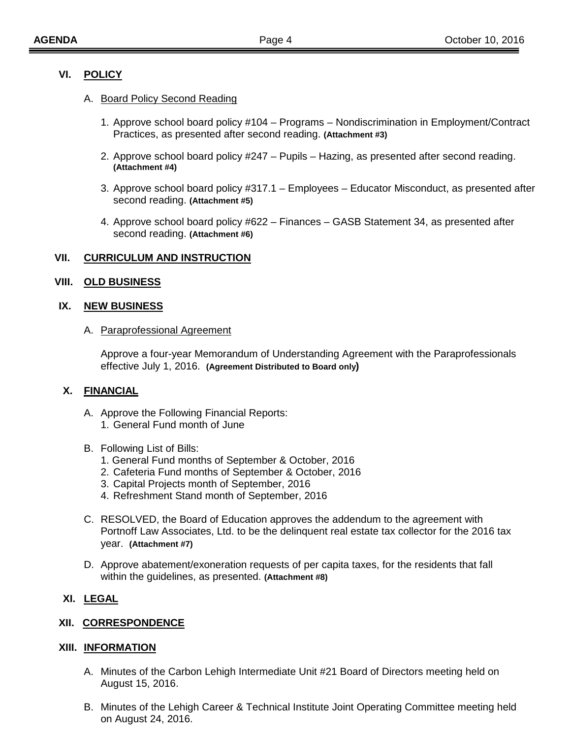## **VI. POLICY**

### A. Board Policy Second Reading

- 1. Approve school board policy #104 Programs Nondiscrimination in Employment/Contract Practices, as presented after second reading. **(Attachment #3)**
- 2. Approve school board policy #247 Pupils Hazing, as presented after second reading. **(Attachment #4)**
- 3. Approve school board policy #317.1 Employees Educator Misconduct, as presented after second reading. **(Attachment #5)**
- 4. Approve school board policy #622 Finances GASB Statement 34, as presented after second reading. **(Attachment #6)**

### **VII. CURRICULUM AND INSTRUCTION**

### **VIII. OLD BUSINESS**

#### **IX. NEW BUSINESS**

#### A. Paraprofessional Agreement

Approve a four-year Memorandum of Understanding Agreement with the Paraprofessionals effective July 1, 2016. **(Agreement Distributed to Board only)** 

### **X. FINANCIAL**

- A. Approve the Following Financial Reports: 1. General Fund month of June
- B. Following List of Bills:
	- 1. General Fund months of September & October, 2016
	- 2. Cafeteria Fund months of September & October, 2016
	- 3. Capital Projects month of September, 2016
	- 4. Refreshment Stand month of September, 2016
- C. RESOLVED, the Board of Education approves the addendum to the agreement with Portnoff Law Associates, Ltd. to be the delinquent real estate tax collector for the 2016 tax year. **(Attachment #7)**
- D. Approve abatement/exoneration requests of per capita taxes, for the residents that fall within the guidelines, as presented. **(Attachment #8)**

### **XI. LEGAL**

### **XII. CORRESPONDENCE**

#### **XIII. INFORMATION**

- A. Minutes of the Carbon Lehigh Intermediate Unit #21 Board of Directors meeting held on August 15, 2016.
- B. Minutes of the Lehigh Career & Technical Institute Joint Operating Committee meeting held on August 24, 2016.